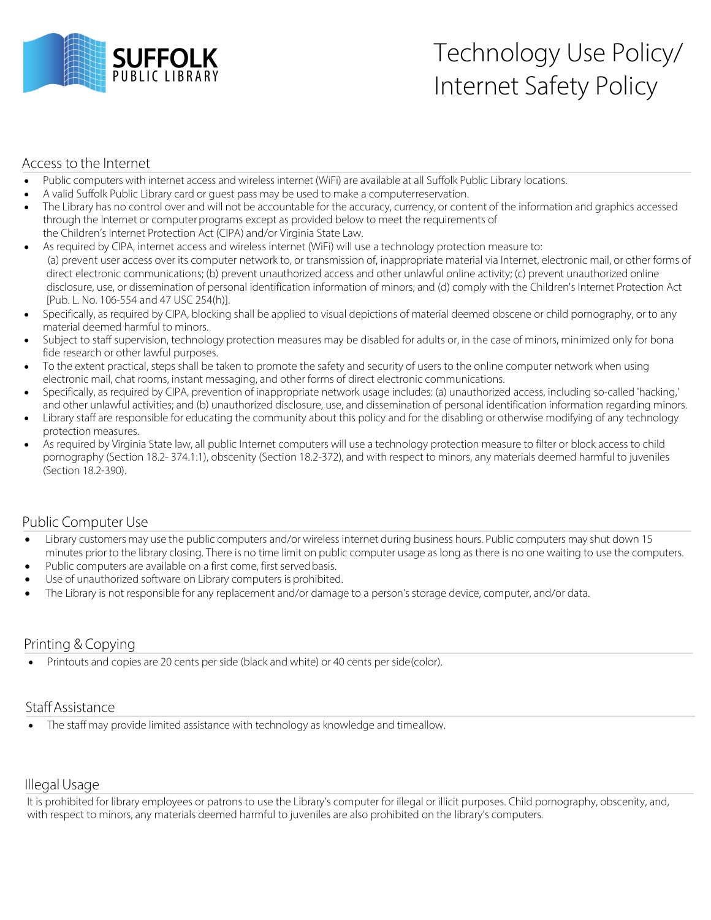

# Technology Use Policy/ Internet Safety Policy

### Access to the Internet

- Public computers with internet access and wireless internet (WiFi) are available at all Suffolk Public Library locations.
- A valid Suffolk Public Library card or guest pass may be used to make a computerreservation.
- The Library has no control over and will not be accountable for the accuracy, currency, or content of the information and graphics accessed through the Internet or computer programs except as provided below to meet the requirements of the Children's Internet Protection Act (CIPA) and/or Virginia State Law.
- As required by CIPA, internet access and wireless internet (WiFi) will use a technology protection measure to: (a) prevent user access over its computer network to, or transmission of, inappropriate material via Internet, electronic mail, or other forms of direct electronic communications; (b) prevent unauthorized access and other unlawful online activity; (c) prevent unauthorized online disclosure, use, or dissemination of personal identification information of minors; and (d) comply with the Children's Internet Protection Act [Pub. L. No. 106-554 and 47 USC 254(h)].
- Specifically, as required by CIPA, blocking shall be applied to visual depictions of material deemed obscene or child pornography, or to any material deemed harmful to minors.
- Subject to staff supervision, technology protection measures may be disabled for adults or, in the case of minors, minimized only for bona fide research or other lawful purposes.
- To the extent practical, steps shall be taken to promote the safety and security of users to the online computer network when using electronic mail, chat rooms, instant messaging, and other forms of direct electronic communications.
- Specifically, as required by CIPA, prevention of inappropriate network usage includes: (a) unauthorized access, including so-called 'hacking,' and other unlawful activities; and (b) unauthorized disclosure, use, and dissemination of personal identification information regarding minors.
- Library staff are responsible for educating the community about this policy and for the disabling or otherwise modifying of any technology protection measures.
- As required by Virginia State law, all public Internet computers will use a technology protection measure to filter or block access to child pornography (Section 18.2- 374.1:1), obscenity (Section 18.2-372), and with respect to minors, any materials deemed harmful to juveniles (Section 18.2-390).

#### Public Computer Use

- Library customers may use the public computers and/or wireless internet during business hours. Public computers may shut down 15 minutes prior to the library closing. There is no time limit on public computer usage as long as there is no one waiting to use the computers.
- Public computers are available on a first come, first served basis.
- Use of unauthorized software on Library computers is prohibited.
- The Library is not responsible for any replacement and/or damage to a person's storage device, computer, and/or data.

# Printing & Copying

• Printouts and copies are 20 cents per side (black and white) or 40 cents per side(color).

#### Staff Assistance

The staff may provide limited assistance with technology as knowledge and timeallow.

# IllegalUsage

It is prohibited for library employees or patrons to use the Library's computer for illegal or illicit purposes. Child pornography, obscenity, and, with respect to minors, any materials deemed harmful to juveniles are also prohibited on the library's computers.